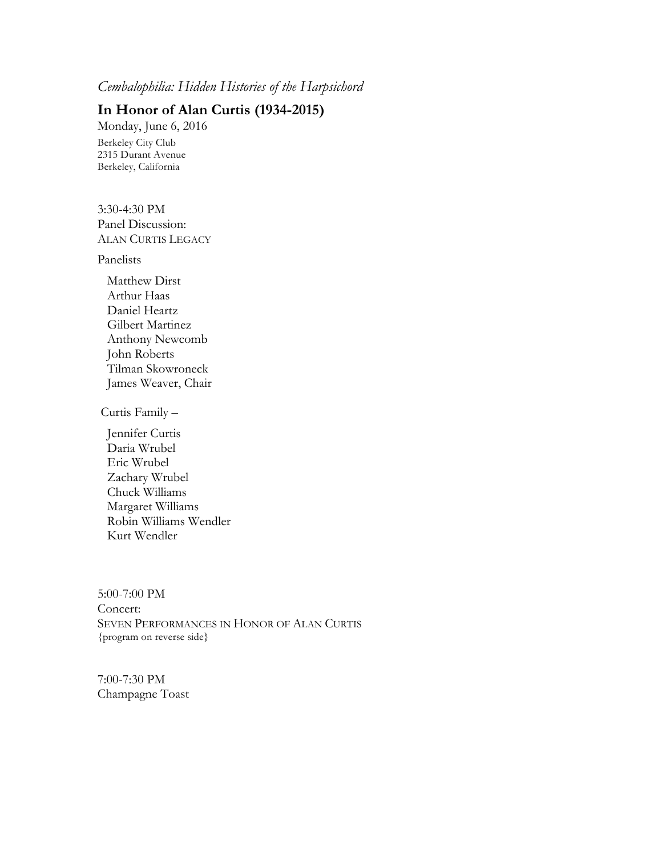## *Cembalophilia: Hidden Histories of the Harpsichord*

## **In Honor of Alan Curtis (1934-2015)**

Monday, June 6, 2016 Berkeley City Club 2315 Durant Avenue Berkeley, California

3:30-4:30 PM Panel Discussion: ALAN CURTIS LEGACY

Panelists

 Matthew Dirst Arthur Haas Daniel Heartz Gilbert Martinez Anthony Newcomb John Roberts Tilman Skowroneck James Weaver, Chair

Curtis Family –

 Jennifer Curtis Daria Wrubel Eric Wrubel Zachary Wrubel Chuck Williams Margaret Williams Robin Williams Wendler Kurt Wendler

5:00-7:00 PM Concert: SEVEN PERFORMANCES IN HONOR OF ALAN CURTIS {program on reverse side}

7:00-7:30 PM Champagne Toast